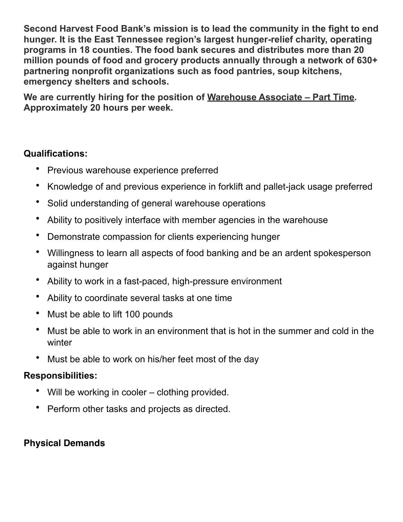**Second Harvest Food Bank's mission is to lead the community in the fight to end hunger. It is the East Tennessee region's largest hunger-relief charity, operating programs in 18 counties. The food bank secures and distributes more than 20 million pounds of food and grocery products annually through a network of 630+ partnering nonprofit organizations such as food pantries, soup kitchens, emergency shelters and schools.** 

**We are currently hiring for the position of Warehouse Associate – Part Time. Approximately 20 hours per week.**

## **Qualifications:**

- Previous warehouse experience preferred
- Knowledge of and previous experience in forklift and pallet-jack usage preferred
- Solid understanding of general warehouse operations
- Ability to positively interface with member agencies in the warehouse
- Demonstrate compassion for clients experiencing hunger
- Willingness to learn all aspects of food banking and be an ardent spokesperson against hunger
- Ability to work in a fast-paced, high-pressure environment
- Ability to coordinate several tasks at one time
- Must be able to lift 100 pounds
- Must be able to work in an environment that is hot in the summer and cold in the winter
- Must be able to work on his/her feet most of the day

## **Responsibilities:**

- Will be working in cooler clothing provided.
- Perform other tasks and projects as directed.

## **Physical Demands**